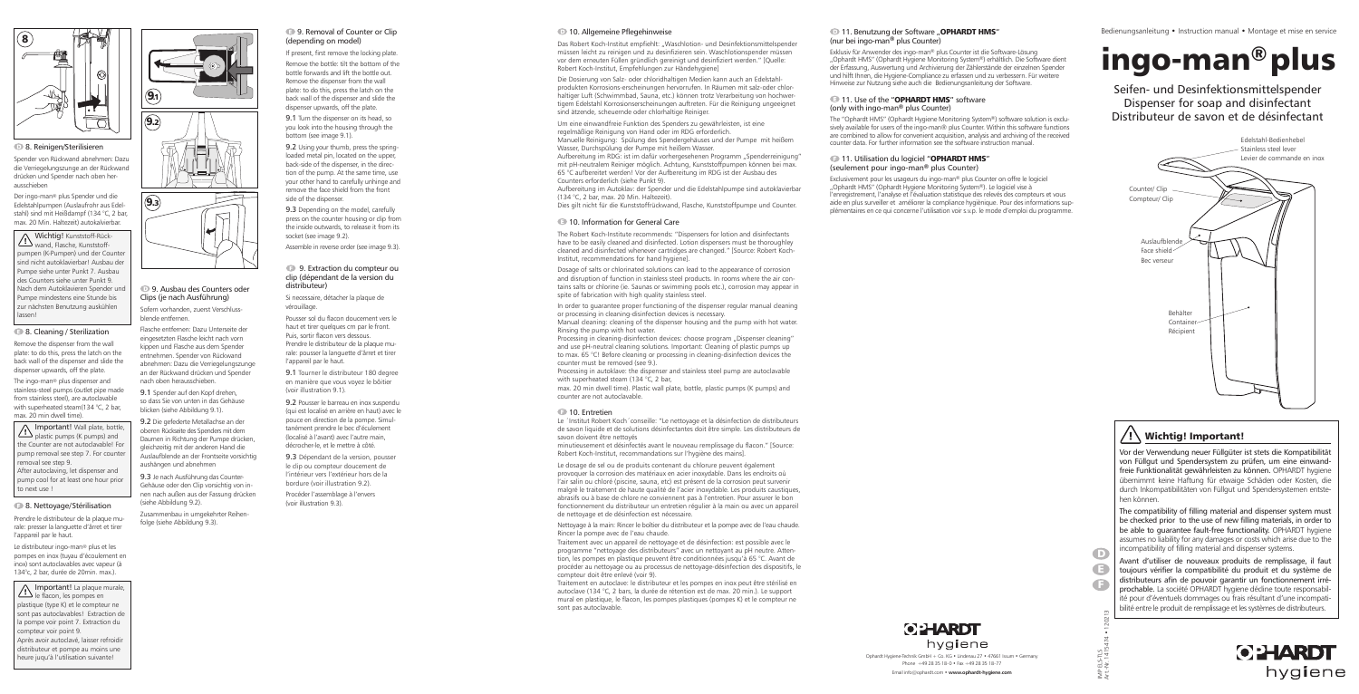### Seifen- und Desinfektionsmittelspender Dispenser for soap and disinfectant Distributeur de savon et de désinfectant

# ingo-man® plus

IMP ELS-TLS

 $\frac{1}{2}$ 음호

≩ ਵੰ

**OPHARDT** hygiene Bedienungsanleitung • Instruction manual • Montage et mise en service

Remove the dispenser from the wall plate: to do this, press the latch on the back wall of the dispenser and slide the dispenser upwards, off the plate.

The ingo-man® plus dispenser and stainless-steel pumps (outlet pipe made from stainless steel), are autoclavable with superheated steam(134 °C, 2 bar, max. 20 min dwell time).

> Ophardt Hygiene-Technik GmbH + Co. KG • Lindenau 27 • 47661 Issum • Germany Phone +49 28 35 18-0 • Fax +49 28 35 18-77

Wichtig! Kunststoff-Rückwand, Flasche, Kunststoffpumpen (K-Pumpen) und der Counter sind nicht autoklavierbar! Ausbau der Pumpe siehe unter Punkt 7. Ausbau des Counters siehe unter Punkt 9. Nach dem Autoklavieren Spender und Pumpe mindestens eine Stunde bis zur nächsten Benutzung auskühlen lassen!

#### 8. Cleaning / Sterilization

#### <sup>1</sup>11. Benutzung der Software "OPHARDT HMS" (nur bei ingo-man**®** plus Counter)

Prendre le distributeur de la plaque murale: presser la languette d'ârret et tirer l'appareil par le haut.

Le distributeur ingo-man® plus et les pompes en inox (tuyau d'écoulement en inox) sont autoclavables avec vapeur (à 134°c, 2 bar, durée de 20min. max.).

Spender von Rückwand abnehmen: Dazu die Verriegelungszunge an der Rückwand drücken und Spender nach oben herausschieben

#### **11. Utilisation du logiciel "OPHARDT HMS"** (seulement pour ingo-man**®** plus Counter)

Der ingo-man® plus Spender und die Edelstahlpumpen (Auslaufrohr aus Edelstahl) sind mit Heißdampf (134 °C, 2 bar, max. 20 Min. Haltezeit) autokalvierbar.

Important! Wall plate, bottle, plastic pumps (K pumps) and the Counter are not autoclavable! For pump removal see step 7. For counter removal see step 9.



After autoclaving, let dispenser and pump cool for at least one hour prior to next use !

#### **8. Nettoyage/Stérilisation**

Important! La plaque murale, le flacon, les pompes en plastique (type K) et le compteur ne sont pas autoclavables! Extraction de la pompe voir point 7. Extraction du compteur voir point 9. Après avoir autoclavé, laisser refroidir distributeur et pompe au moins une heure juqu'à l'utilisation suivante!

Exklusiv für Anwender des ingo-man® plus Counter ist die Software-Lösung "Ophardt HMS" (Ophardt Hygiene Monitoring System®) erhältlich. Die Software dient der Erfassung, Auswertung und Archivierung der Zählerstände der einzelnen Spender und hilft Ihnen, die Hygiene-Compliance zu erfassen und zu verbessern. Für weitere Hinweise zur Nutzung siehe auch die Bedienungsanleitung der Software.

#### <sup>11</sup>. Use of the "**OPHARDT HMS**" software

(only with ingo-man**®** plus Counter)

#### **9. Removal of Counter or Clip** (depending on model)

The "Ophardt HMS" (Ophardt Hygiene Monitoring System®) software solution is exclusively available for users of the ingo-man® plus Counter. Within this software functions are combined to allow for convenient acquisition, analysis and archiving of the received counter data. For further information see the software instruction manual.

9.2 Using your thumb, press the springloaded metal pin, located on the upper, back-side of the dispenser, in the direction of the pump. At the same time, use your other hand to carefully unhinge and remove the face shield from the front side of the dispenser.

Exclusivement pour les usageurs du ingo-man® plus Counter on offre le logiciel "Ophardt HMS" (Ophardt Hygiene Monitoring System®). Le logiciel vise à l'enregistrement, l'analyse et l'évaluation statistique des relevés des compteurs et vous aide en plus surveiller et améliorer la compliance hygiènique. Pour des informations sup-

plémentaires en ce qui concerne l'utilisation voir s.v.p. le mode d'emploi du programme.



#### **8. Reinigen/Sterilisieren**

D



### $/$ !\ Wichtig! Important!

Das Robert Koch-Institut empfiehlt: "Waschlotion- und Desinfektionsmittelspender müssen leicht zu reinigen und zu desinfizieren sein. Waschlotionspender müssen vor dem erneuten Füllen gründlich gereinigt und desinfiziert werden." [Quelle: Robert Koch-Institut, Empfehlungen zur Händehygiene]

> Vor der Verwendung neuer Füllgüter ist stets die Kompatibilität von Füllgut und Spendersystem zu prüfen, um eine einwandfreie Funktionalität gewährleisten zu können. OPHARDT hygiene übernimmt keine Haftung für etwaige Schäden oder Kosten, die durch Inkompatibilitäten von Füllgut und Spendersystemen entstehen können.

> The compatibility of filling material and dispenser system must be checked prior to the use of new filling materials, in order to be able to guarantee fault-free functionality. OPHARDT hygiene assumes no liability for any damages or costs which arise due to the incompatibility of filling material and dispenser systems.

Aufbereitung im RDG: ist im dafür vorhergesehenen Programm "Spenderreinigung" mit pH-neutralem Reiniger möglich. Achtung, Kunststoffpumpen können bei max. 65 °C aufbereitet werden! Vor der Aufbereitung im RDG ist der Ausbau des Counters erforderlich (siehe Punkt 9).

> Avant d'utiliser de nouveaux produits de remplissage, il faut toujours vérifier la compatibilité du produit et du système de distributeurs afin de pouvoir garantir un fonctionnement irréprochable. La société OPHARDT hygiene décline toute responsabilité pour d'éventuels dommages ou frais résultant d'une incompatibilité entre le produit de remplissage et les systèmes de distributeurs.



#### 9. Ausbau des Counters oder Clips (je nach Ausführung)

Sofern vorhanden, zuerst Verschlussblende entfernen.

> Processing in cleaning-disinfection devices: choose program "Dispenser cleaning" and use pH-neutral cleaning solutions. Important: Cleaning of plastic pumps up to max. 65 °C! Before cleaning or processing in cleaning-disinfection devices the counter must be removed (see 9.).

Flasche entfernen: Dazu Unterseite der eingesetzten Flasche leicht nach vorn kippen und Flasche aus dem Spender entnehmen. Spender von Rückwand abnehmen: Dazu die Verriegelungszunge an der Rückwand drücken und Spender nach oben herausschieben.

9.1 Spender auf den Kopf drehen, so dass Sie von unten in das Gehäuse blicken (siehe Abbildung 9.1).

9.2 Die gefederte Metallachse an der oberen Rückseite des Spenders mit dem Daumen in Richtung der Pumpe drücken, gleichzeitig mit der anderen Hand die Auslaufblende an der Frontseite vorsichtig aushängen und abnehmen

9.3 Je nach Ausführung das Counter-Gehäuse oder den Clip vorsichtig von innen nach außen aus der Fassung drücken (siehe Abbildung 9.2).

Zusammenbau in umgekehrter Reihenfolge (siehe Abbildung 9.3).

If present, first remove the locking plate.

Remove the bottle: tilt the bottom of the bottle forwards and lift the bottle out. Remove the dispenser from the wall plate: to do this, press the latch on the back wall of the dispenser and slide the dispenser upwards, off the plate.

9.1 Turn the dispenser on its head, so you look into the housing through the bottom (see image 9.1).

9.3 Depending on the model, carefully press on the counter housing or clip from the inside outwards, to release it from its socket (see image 9.2).

Assemble in reverse order (see image 9.3).

#### 9. Extraction du compteur ou clip (dépendant de la version du distributeur)

Si necessaire, détacher la plaque de vérouillage.

Pousser sol du flacon doucement vers le haut et tirer quelques cm par le front. Puis, sortir flacon vers dessous. Prendre le distributeur de la plaque murale: pousser la languette d'ârret et tirer l'appareil par le haut.

9.1 Tourner le distributeur 180 degree en manière que vous voyez le bôitier (voir illustration 9.1).

9.2 Pousser le barreau en inox suspendu (qui est localisé en arrière en haut) avec le pouce en direction de la pompe. Simultanément prendre le bec d'éculement (localisé à l'avant) avec l'autre main, décrocher-le, et le mettre à côté.

9.3 Dépendant de la version, pousser le clip ou compteur doucement de l'intérieur vers l'extérieur hors de la bordure (voir illustration 9.2). Procéder l'assemblage à l'envers (voir illustration 9.3).

#### **10. Allgemeine Pflegehinweise**



 $\left( 9.3\right)$ 

Die Dosierung von Salz- oder chloridhaltigen Medien kann auch an Edelstahlprodukten Korrosions-erscheinungen hervorrufen. In Räumen mit salz-oder chlorhaltiger Luft (Schwimmbad, Sauna, etc.) können trotz Verarbeitung von hochwertigem Edelstahl Korrosionserscheinungen auftreten. Für die Reinigung ungeeignet sind ätzende, scheuernde oder chlorhaltige Reiniger.

Um eine einwandfreie Funktion des Spenders zu gewährleisten, ist eine regelmäßige Reinigung von Hand oder im RDG erforderlich. Manuelle Reinigung: Spülung des Spendergehäuses und der Pumpe mit heißem Wasser, Durchspülung der Pumpe mit heißem Wasser.

Aufbereitung im Autoklav: der Spender und die Edelstahlpumpe sind autoklavierbar (134 °C, 2 bar, max. 20 Min. Haltezeit).

Dies gilt nicht für die Kunststoffrückwand, Flasche, Kunststoffpumpe und Counter.

#### **10. Information for General Care**

The Robert Koch-Institute recommends: "Dispensers for lotion and disinfectants have to be easily cleaned and disinfected. Lotion dispensers must be thoroughley cleaned and disinfected whenever cartridges are changed." [Source: Robert Koch-Institut, recommendations for hand hygiene].

Dosage of salts or chlorinated solutions can lead to the appearance of corrosion and disruption of function in stainless steel products. In rooms where the air contains salts or chlorine (ie. Saunas or swimming pools etc.), corrosion may appear in spite of fabrication with high quality stainless steel.

In order to guarantee proper functioning of the dispenser regular manual cleaning or processing in cleaning-disinfection devices is necessary.

Manual cleaning: cleaning of the dispenser housing and the pump with hot water. Rinsing the pump with hot water.

Processing in autoklave: the dispenser and stainless steel pump are autoclavable with superheated steam (134 °C, 2 bar,

max. 20 min dwell time). Plastic wall plate, bottle, plastic pumps (K pumps) and counter are not autoclavable.

#### <sup>10</sup>. Entretien

Le ´Institut Robert Koch´conseille: "Le nettoyage et la désinfection de distributeurs de savon liquide et de solutions désinfectantes doit être simple. Les distributeurs de savon doivent être nettoyés

minutieusement et désinfectés avant le nouveau remplissage du flacon." [Source: Robert Koch-Institut, recommandations sur l'hygiène des mains].

Le dosage de sel ou de produits contenant du chlorure peuvent également provoquer la corrosion des matériaux en acier inoxydable. Dans les endroits où l'air salin ou chloré (piscine, sauna, etc) est présent de la corrosion peut survenir malgré le traitement de haute qualité de l'acier inoxydable. Les produits caustiques, abrasifs ou à base de chlore ne conviennent pas à l'entretien. Pour assurer le bon fonctionnement du distributeur un entretien régulier à la main ou avec un appareil de nettoyage et de désinfection est nécessaire.

Nettoyage à la main: Rincer le boîtier du distributeur et la pompe avec de l'eau chaude. Rincer la pompe avec de l'eau chaude.

Traitement avec un appareil de nettoyage et de désinfection: est possible avec le programme "nettoyage des distributeurs" avec un nettoyant au pH neutre. Attention, les pompes en plastique peuvent être conditionnées jusqu'à 65 °C. Avant de procéder au nettoyage ou au processus de nettoyage-désinfection des dispositifs, le compteur doit être enlevé (voir 9).

Traitement en autoclave: le distributeur et les pompes en inox peut être stérilisé en autoclave (134 °C, 2 bars, la durée de rétention est de max. 20 min.). Le support mural en plastique, le flacon, les pompes plastiques (pompes K) et le compteur ne sont pas autoclavable.